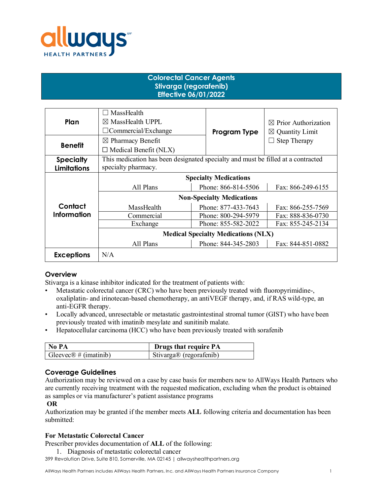

# **Colorectal Cancer Agents Stivarga (regorafenib) Effective 06/01/2022**

| Plan               | MassHealth<br>$\boxtimes$ MassHealth UPPL<br>$\Box$ Commercial/Exchange          | Program Type        | $\boxtimes$ Prior Authorization<br>$\boxtimes$ Quantity Limit |
|--------------------|----------------------------------------------------------------------------------|---------------------|---------------------------------------------------------------|
| <b>Benefit</b>     | $\boxtimes$ Pharmacy Benefit<br>$\Box$ Medical Benefit (NLX)                     |                     | <b>Step Therapy</b>                                           |
| <b>Specialty</b>   | This medication has been designated specialty and must be filled at a contracted |                     |                                                               |
| <b>Limitations</b> | specialty pharmacy.                                                              |                     |                                                               |
|                    | <b>Specialty Medications</b>                                                     |                     |                                                               |
|                    | All Plans                                                                        | Phone: 866-814-5506 | Fax: 866-249-6155                                             |
|                    | <b>Non-Specialty Medications</b>                                                 |                     |                                                               |
| Contact            | MassHealth                                                                       | Phone: 877-433-7643 | Fax: 866-255-7569                                             |
| <b>Information</b> | Commercial                                                                       | Phone: 800-294-5979 | Fax: 888-836-0730                                             |
|                    | Exchange                                                                         | Phone: 855-582-2022 | Fax: 855-245-2134                                             |
|                    | <b>Medical Specialty Medications (NLX)</b>                                       |                     |                                                               |
|                    | All Plans                                                                        | Phone: 844-345-2803 | Fax: 844-851-0882                                             |
| <b>Exceptions</b>  | N/A                                                                              |                     |                                                               |

## **Overview**

Stivarga is a kinase inhibitor indicated for the treatment of patients with:

- Metastatic colorectal cancer (CRC) who have been previously treated with fluoropyrimidine-, oxaliplatin- and irinotecan-based chemotherapy, an antiVEGF therapy, and, if RAS wild-type, an anti-EGFR therapy.
- Locally advanced, unresectable or metastatic gastrointestinal stromal tumor (GIST) who have been previously treated with imatinib mesylate and sunitinib malate.
- Hepatocellular carcinoma (HCC) who have been previously treated with sorafenib

| No PA                              | <b>Drugs that require PA</b>        |
|------------------------------------|-------------------------------------|
| Gleevec $\mathcal{R}$ # (imatinib) | Stivarga <sup>®</sup> (regorafenib) |

## **Coverage Guidelines**

Authorization may be reviewed on a case by case basis for members new to AllWays Health Partners who are currently receiving treatment with the requested medication, excluding when the product is obtained as samples or via manufacturer's patient assistance programs

#### **OR**

Authorization may be granted if the member meets **ALL** following criteria and documentation has been submitted:

#### **For Metastatic Colorectal Cancer**

Prescriber provides documentation of **ALL** of the following:

399 Revolution Drive, Suite 810, Somerville, MA 02145 | allwayshealthpartners.org 1. Diagnosis of metastatic colorectal cancer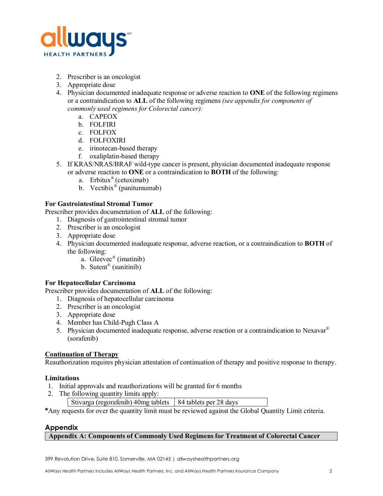

- 2. Prescriber is an oncologist
- 3. Appropriate dose
- 4. Physician documented inadequate response or adverse reaction to **ONE** of the following regimens or a contraindication to **ALL** of the following regimens *(see appendix for components of commonly used regimens for Colorectal cancer):* 
	- a. CAPEOX
	- b. FOLFIRI
	- c. FOLFOX
	- d. FOLFOXIRI
	- e. irinotecan-based therapy
	- f. oxaliplatin-based therapy
- 5. If KRAS/NRAS/BRAF wild-type cancer is present, physician documented inadequate response or adverse reaction to **ONE** or a contraindication to **BOTH** of the following:
	- a. Erbitux<sup>®</sup> (cetuximab)
	- b. Vectibix<sup>®</sup> (panitumumab)

### **For Gastrointestinal Stromal Tumor**

Prescriber provides documentation of **ALL** of the following:

- 1. Diagnosis of gastrointestinal stromal tumor
- 2. Prescriber is an oncologist
- 3. Appropriate dose
- 4. Physician documented inadequate response, adverse reaction, or a contraindication to **BOTH** of the following:
	- a. Gleevec® (imatinib)
	- b. Sutent® (sunitinib)

#### **For Hepatocellular Carcinoma**

Prescriber provides documentation of **ALL** of the following:

- 1. Diagnosis of hepatocellular carcinoma
- 2. Prescriber is an oncologist
- 3. Appropriate dose
- 4. Member has Child-Pugh Class A
- 5. Physician documented inadequate response, adverse reaction or a contraindication to Nexavar® (sorafenib)

## **Continuation of Therapy**

Reauthorization requires physician attestation of continuation of therapy and positive response to therapy.

#### **Limitations**

- 1. Initial approvals and reauthorizations will be granted for 6 months
- 2. The following quantity limits apply:
	- Stivarga (regorafenib) 40mg tablets  $\vert$  84 tablets per 28 days

**\***Any requests for over the quantity limit must be reviewed against the Global Quantity Limit criteria.

#### **Appendix**

#### **Appendix A: Components of Commonly Used Regimens for Treatment of Colorectal Cancer**

399 Revolution Drive, Suite 810, Somerville, MA 02145 | allwayshealthpartners.org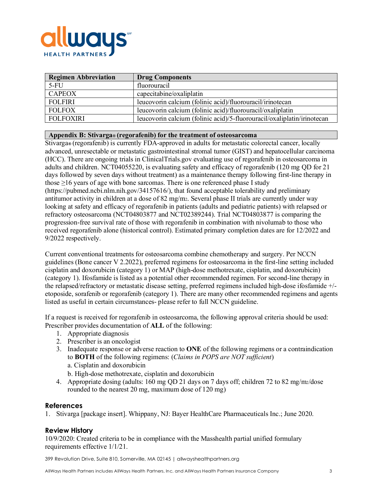

| <b>Regimen Abbreviation</b> | <b>Drug Components</b>                                                  |
|-----------------------------|-------------------------------------------------------------------------|
| $5-FU$                      | fluorouracil                                                            |
| <b>CAPEOX</b>               | capecitabine/oxaliplatin                                                |
| <b>FOLFIRI</b>              | leucovorin calcium (folinic acid)/fluorouracil/irinotecan               |
| <b>FOLFOX</b>               | leucovorin calcium (folinic acid)/fluorouracil/oxaliplatin              |
| <b>FOLFOXIRI</b>            | leucovorin calcium (folinic acid)/5-fluorouracil/oxaliplatin/irinotecan |

#### **Appendix B: Stivarga® (regorafenib) for the treatment of osteosarcoma**

Stivarga**®** (regorafenib) is currently FDA-approved in adults for metastatic colorectal cancer, locally advanced, unresectable or metastatic gastrointestinal stromal tumor (GIST) and hepatocellular carcinoma (HCC). There are ongoing trials in ClinicalTrials.gov evaluating use of regorafenib in osteosarcoma in adults and children. NCT04055220, is evaluating safety and efficacy of regorafenib (120 mg QD for 21 days followed by seven days without treatment) as a maintenance therapy following first-line therapy in those  $\geq$ 16 years of age with bone sarcomas. There is one referenced phase I study (https://pubmed.ncbi.nlm.nih.gov/34157616/), that found acceptable tolerability and preliminary antitumor activity in children at a dose of 82 mg/m2. Several phase II trials are currently under way looking at safety and efficacy of regorafenib in patients (adults and pediatric patients) with relapsed or refractory osteosarcoma (NCT04803877 and NCT02389244). Trial NCT04803877 is comparing the progression-free survival rate of those with regorafenib in combination with nivolumab to those who received regorafenib alone (historical control). Estimated primary completion dates are for 12/2022 and 9/2022 respectively.

Current conventional treatments for osteosarcoma combine chemotherapy and surgery. Per NCCN guidelines (Bone cancer V 2.2022), preferred regimens for osteosarcoma in the first-line setting included cisplatin and doxorubicin (category 1) or MAP (high-dose methotrexate, cisplatin, and doxorubicin) (category 1). Ifosfamide is listed as a potential other recommended regimen. For second-line therapy in the relapsed/refractory or metastatic disease setting, preferred regimens included high-dose ifosfamide +/ etoposide, sorafenib or regorafenib (category 1). There are many other recommended regimens and agents listed as useful in certain circumstances- please refer to full NCCN guideline.

If a request is received for regorafenib in osteosarcoma, the following approval criteria should be used: Prescriber provides documentation of **ALL** of the following:

- 1. Appropriate diagnosis
- 2. Prescriber is an oncologist
- 3. Inadequate response or adverse reaction to **ONE** of the following regimens or a contraindication to **BOTH** of the following regimens: (*Claims in POPS are NOT sufficient*) a. Cisplatin and doxorubicin
	- b. High-dose methotrexate, cisplatin and doxorubicin
- 4. Appropriate dosing (adults: 160 mg OD 21 days on 7 days off; children 72 to 82 mg/m $/$ dose rounded to the nearest 20 mg, maximum dose of 120 mg)

#### **References**

1. Stivarga [package insert]. Whippany, NJ: Bayer HealthCare Pharmaceuticals Inc.; June 2020.

#### **Review History**

10/9/2020: Created criteria to be in compliance with the Masshealth partial unified formulary requirements effective 1/1/21.

399 Revolution Drive, Suite 810, Somerville, MA 02145 | allwayshealthpartners.org